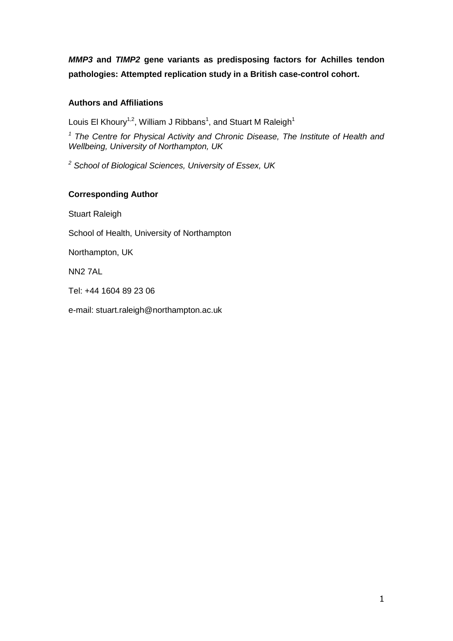*MMP3* **and** *TIMP2* **gene variants as predisposing factors for Achilles tendon pathologies: Attempted replication study in a British case-control cohort.** 

## **Authors and Affiliations**

Louis El Khoury<sup>1,2</sup>, William J Ribbans<sup>1</sup>, and Stuart M Raleigh<sup>1</sup>

<sup>1</sup> The Centre for Physical Activity and Chronic Disease, The Institute of Health and *Wellbeing, University of Northampton, UK* 

*2 School of Biological Sciences, University of Essex, UK* 

## **Corresponding Author**

Stuart Raleigh

School of Health, University of Northampton

Northampton, UK

NN2 7AL

Tel: +44 1604 89 23 06

e-mail: stuart.raleigh@northampton.ac.uk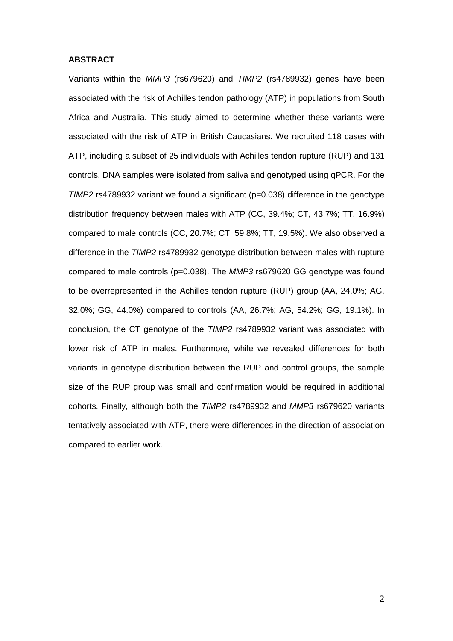#### **ABSTRACT**

Variants within the *MMP3* (rs679620) and *TIMP2* (rs4789932) genes have been associated with the risk of Achilles tendon pathology (ATP) in populations from South Africa and Australia. This study aimed to determine whether these variants were associated with the risk of ATP in British Caucasians. We recruited 118 cases with ATP, including a subset of 25 individuals with Achilles tendon rupture (RUP) and 131 controls. DNA samples were isolated from saliva and genotyped using qPCR. For the *TIMP2* rs4789932 variant we found a significant (p=0.038) difference in the genotype distribution frequency between males with ATP (CC, 39.4%; CT, 43.7%; TT, 16.9%) compared to male controls (CC, 20.7%; CT, 59.8%; TT, 19.5%). We also observed a difference in the *TIMP2* rs4789932 genotype distribution between males with rupture compared to male controls (p=0.038). The *MMP3* rs679620 GG genotype was found to be overrepresented in the Achilles tendon rupture (RUP) group (AA, 24.0%; AG, 32.0%; GG, 44.0%) compared to controls (AA, 26.7%; AG, 54.2%; GG, 19.1%). In conclusion, the CT genotype of the *TIMP2* rs4789932 variant was associated with lower risk of ATP in males. Furthermore, while we revealed differences for both variants in genotype distribution between the RUP and control groups, the sample size of the RUP group was small and confirmation would be required in additional cohorts. Finally, although both the *TIMP2* rs4789932 and *MMP3* rs679620 variants tentatively associated with ATP, there were differences in the direction of association compared to earlier work.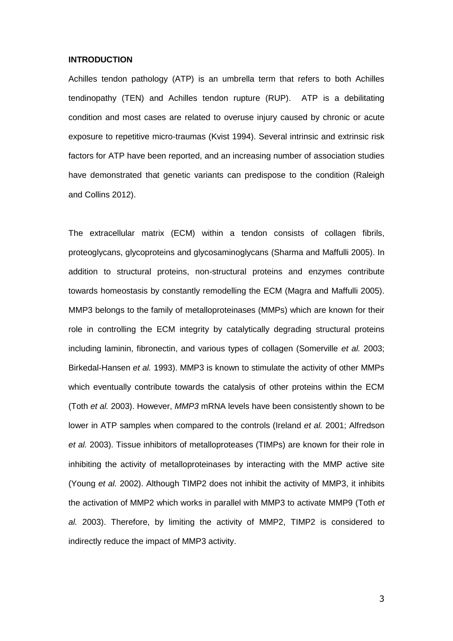#### **INTRODUCTION**

Achilles tendon pathology (ATP) is an umbrella term that refers to both Achilles tendinopathy (TEN) and Achilles tendon rupture (RUP). ATP is a debilitating condition and most cases are related to overuse injury caused by chronic or acute exposure to repetitive micro-traumas (Kvist 1994). Several intrinsic and extrinsic risk factors for ATP have been reported, and an increasing number of association studies have demonstrated that genetic variants can predispose to the condition (Raleigh and Collins 2012).

The extracellular matrix (ECM) within a tendon consists of collagen fibrils, proteoglycans, glycoproteins and glycosaminoglycans (Sharma and Maffulli 2005). In addition to structural proteins, non-structural proteins and enzymes contribute towards homeostasis by constantly remodelling the ECM (Magra and Maffulli 2005). MMP3 belongs to the family of metalloproteinases (MMPs) which are known for their role in controlling the ECM integrity by catalytically degrading structural proteins including laminin, fibronectin, and various types of collagen (Somerville *et al.* 2003; Birkedal-Hansen *et al.* 1993). MMP3 is known to stimulate the activity of other MMPs which eventually contribute towards the catalysis of other proteins within the ECM (Toth *et al.* 2003). However, *MMP3* mRNA levels have been consistently shown to be lower in ATP samples when compared to the controls (Ireland *et al.* 2001; Alfredson *et al.* 2003). Tissue inhibitors of metalloproteases (TIMPs) are known for their role in inhibiting the activity of metalloproteinases by interacting with the MMP active site (Young *et al.* 2002). Although TIMP2 does not inhibit the activity of MMP3, it inhibits the activation of MMP2 which works in parallel with MMP3 to activate MMP9 (Toth *et al.* 2003). Therefore, by limiting the activity of MMP2, TIMP2 is considered to indirectly reduce the impact of MMP3 activity.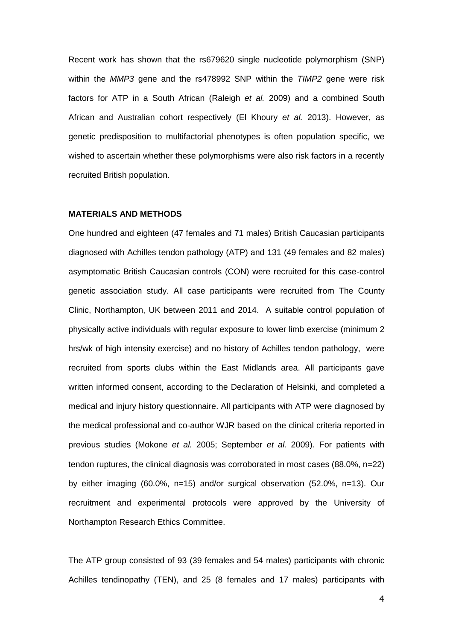Recent work has shown that the rs679620 single nucleotide polymorphism (SNP) within the *MMP3* gene and the rs478992 SNP within the *TIMP2* gene were risk factors for ATP in a South African (Raleigh *et al.* 2009) and a combined South African and Australian cohort respectively (El Khoury *et al.* 2013). However, as genetic predisposition to multifactorial phenotypes is often population specific, we wished to ascertain whether these polymorphisms were also risk factors in a recently recruited British population.

## **MATERIALS AND METHODS**

One hundred and eighteen (47 females and 71 males) British Caucasian participants diagnosed with Achilles tendon pathology (ATP) and 131 (49 females and 82 males) asymptomatic British Caucasian controls (CON) were recruited for this case-control genetic association study. All case participants were recruited from The County Clinic, Northampton, UK between 2011 and 2014. A suitable control population of physically active individuals with regular exposure to lower limb exercise (minimum 2 hrs/wk of high intensity exercise) and no history of Achilles tendon pathology, were recruited from sports clubs within the East Midlands area. All participants gave written informed consent, according to the Declaration of Helsinki, and completed a medical and injury history questionnaire. All participants with ATP were diagnosed by the medical professional and co-author WJR based on the clinical criteria reported in previous studies (Mokone *et al.* 2005; September *et al.* 2009). For patients with tendon ruptures, the clinical diagnosis was corroborated in most cases (88.0%, n=22) by either imaging (60.0%, n=15) and/or surgical observation (52.0%, n=13). Our recruitment and experimental protocols were approved by the University of Northampton Research Ethics Committee.

The ATP group consisted of 93 (39 females and 54 males) participants with chronic Achilles tendinopathy (TEN), and 25 (8 females and 17 males) participants with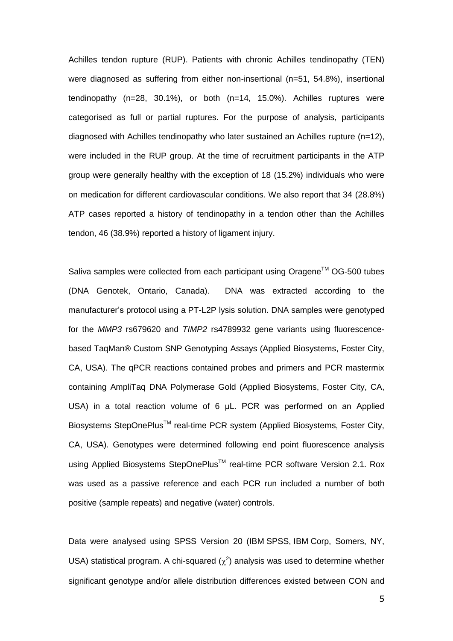Achilles tendon rupture (RUP). Patients with chronic Achilles tendinopathy (TEN) were diagnosed as suffering from either non-insertional (n=51, 54.8%), insertional tendinopathy (n=28, 30.1%), or both (n=14, 15.0%). Achilles ruptures were categorised as full or partial ruptures. For the purpose of analysis, participants diagnosed with Achilles tendinopathy who later sustained an Achilles rupture (n=12), were included in the RUP group. At the time of recruitment participants in the ATP group were generally healthy with the exception of 18 (15.2%) individuals who were on medication for different cardiovascular conditions. We also report that 34 (28.8%) ATP cases reported a history of tendinopathy in a tendon other than the Achilles tendon, 46 (38.9%) reported a history of ligament injury.

Saliva samples were collected from each participant using Oragene™ OG-500 tubes (DNA Genotek, Ontario, Canada). DNA was extracted according to the manufacturer's protocol using a PT-L2P lysis solution. DNA samples were genotyped for the *MMP3* rs679620 and *TIMP2* rs4789932 gene variants using fluorescencebased TaqMan® Custom SNP Genotyping Assays (Applied Biosystems, Foster City, CA, USA). The qPCR reactions contained probes and primers and PCR mastermix containing AmpliTaq DNA Polymerase Gold (Applied Biosystems, Foster City, CA, USA) in a total reaction volume of 6 μL. PCR was performed on an Applied Biosystems StepOnePlus<sup>™</sup> real-time PCR system (Applied Biosystems, Foster City, CA, USA). Genotypes were determined following end point fluorescence analysis using Applied Biosystems StepOnePlus™ real-time PCR software Version 2.1. Rox was used as a passive reference and each PCR run included a number of both positive (sample repeats) and negative (water) controls.

Data were analysed using SPSS Version 20 (IBM SPSS, IBM Corp, Somers, NY, USA) statistical program. A chi-squared  $(\chi^2)$  analysis was used to determine whether significant genotype and/or allele distribution differences existed between CON and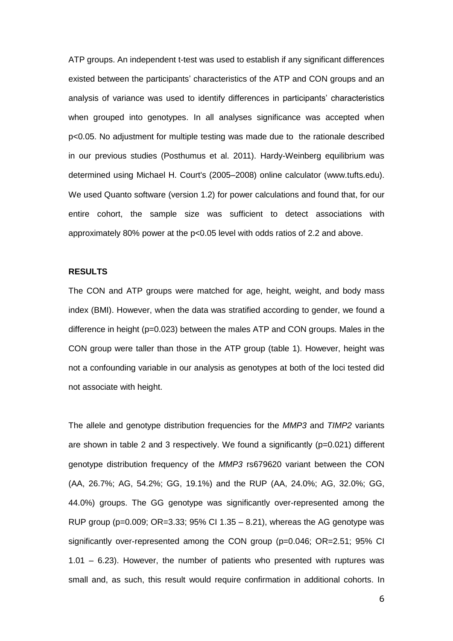ATP groups. An independent t-test was used to establish if any significant differences existed between the participants' characteristics of the ATP and CON groups and an analysis of variance was used to identify differences in participants' characteristics when grouped into genotypes. In all analyses significance was accepted when p<0.05. No adjustment for multiple testing was made due to the rationale described in our previous studies (Posthumus et al. 2011). Hardy-Weinberg equilibrium was determined using Michael H. Court's (2005–2008) online calculator (www.tufts.edu). We used Quanto software (version 1.2) for power calculations and found that, for our entire cohort, the sample size was sufficient to detect associations with approximately 80% power at the p<0.05 level with odds ratios of 2.2 and above.

### **RESULTS**

The CON and ATP groups were matched for age, height, weight, and body mass index (BMI). However, when the data was stratified according to gender, we found a difference in height (p=0.023) between the males ATP and CON groups. Males in the CON group were taller than those in the ATP group (table 1). However, height was not a confounding variable in our analysis as genotypes at both of the loci tested did not associate with height.

The allele and genotype distribution frequencies for the *MMP3* and *TIMP2* variants are shown in table 2 and 3 respectively. We found a significantly (p=0.021) different genotype distribution frequency of the *MMP3* rs679620 variant between the CON (AA, 26.7%; AG, 54.2%; GG, 19.1%) and the RUP (AA, 24.0%; AG, 32.0%; GG, 44.0%) groups. The GG genotype was significantly over-represented among the RUP group ( $p=0.009$ ;  $OR=3.33$ ; 95% CI 1.35 – 8.21), whereas the AG genotype was significantly over-represented among the CON group (p=0.046; OR=2.51; 95% CI 1.01 – 6.23). However, the number of patients who presented with ruptures was small and, as such, this result would require confirmation in additional cohorts. In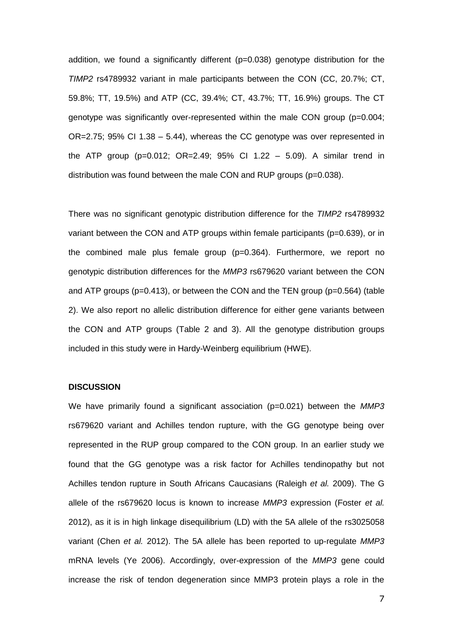addition, we found a significantly different  $(p=0.038)$  genotype distribution for the *TIMP2* rs4789932 variant in male participants between the CON (CC, 20.7%; CT, 59.8%; TT, 19.5%) and ATP (CC, 39.4%; CT, 43.7%; TT, 16.9%) groups. The CT genotype was significantly over-represented within the male CON group (p=0.004; OR=2.75; 95% CI 1.38 – 5.44), whereas the CC genotype was over represented in the ATP group (p=0.012; OR=2.49; 95% CI 1.22 – 5.09). A similar trend in distribution was found between the male CON and RUP groups (p=0.038).

There was no significant genotypic distribution difference for the *TIMP2* rs4789932 variant between the CON and ATP groups within female participants (p=0.639), or in the combined male plus female group (p=0.364). Furthermore, we report no genotypic distribution differences for the *MMP3* rs679620 variant between the CON and ATP groups ( $p=0.413$ ), or between the CON and the TEN group ( $p=0.564$ ) (table 2). We also report no allelic distribution difference for either gene variants between the CON and ATP groups (Table 2 and 3). All the genotype distribution groups included in this study were in Hardy-Weinberg equilibrium (HWE).

### **DISCUSSION**

We have primarily found a significant association (p=0.021) between the *MMP3* rs679620 variant and Achilles tendon rupture, with the GG genotype being over represented in the RUP group compared to the CON group. In an earlier study we found that the GG genotype was a risk factor for Achilles tendinopathy but not Achilles tendon rupture in South Africans Caucasians (Raleigh *et al.* 2009). The G allele of the rs679620 locus is known to increase *MMP3* expression (Foster *et al.* 2012), as it is in high linkage disequilibrium (LD) with the 5A allele of the rs3025058 variant (Chen *et al.* 2012). The 5A allele has been reported to up-regulate *MMP3* mRNA levels (Ye 2006). Accordingly, over-expression of the *MMP3* gene could increase the risk of tendon degeneration since MMP3 protein plays a role in the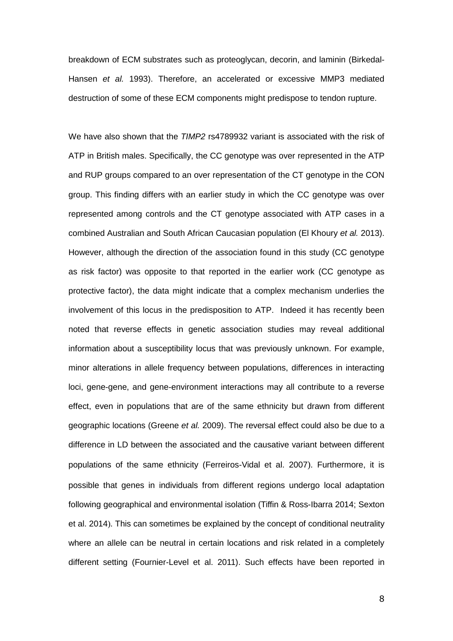breakdown of ECM substrates such as proteoglycan, decorin, and laminin (Birkedal-Hansen *et al.* 1993). Therefore, an accelerated or excessive MMP3 mediated destruction of some of these ECM components might predispose to tendon rupture.

We have also shown that the *TIMP2* rs4789932 variant is associated with the risk of ATP in British males. Specifically, the CC genotype was over represented in the ATP and RUP groups compared to an over representation of the CT genotype in the CON group. This finding differs with an earlier study in which the CC genotype was over represented among controls and the CT genotype associated with ATP cases in a combined Australian and South African Caucasian population (El Khoury *et al.* 2013). However, although the direction of the association found in this study (CC genotype as risk factor) was opposite to that reported in the earlier work (CC genotype as protective factor), the data might indicate that a complex mechanism underlies the involvement of this locus in the predisposition to ATP. Indeed it has recently been noted that reverse effects in genetic association studies may reveal additional information about a susceptibility locus that was previously unknown. For example, minor alterations in allele frequency between populations, differences in interacting loci, gene-gene, and gene-environment interactions may all contribute to a reverse effect, even in populations that are of the same ethnicity but drawn from different geographic locations (Greene *et al.* 2009). The reversal effect could also be due to a difference in LD between the associated and the causative variant between different populations of the same ethnicity (Ferreiros-Vidal et al. 2007). Furthermore, it is possible that genes in individuals from different regions undergo local adaptation following geographical and environmental isolation (Tiffin & Ross-Ibarra 2014; Sexton et al. 2014). This can sometimes be explained by the concept of conditional neutrality where an allele can be neutral in certain locations and risk related in a completely different setting (Fournier-Level et al. 2011). Such effects have been reported in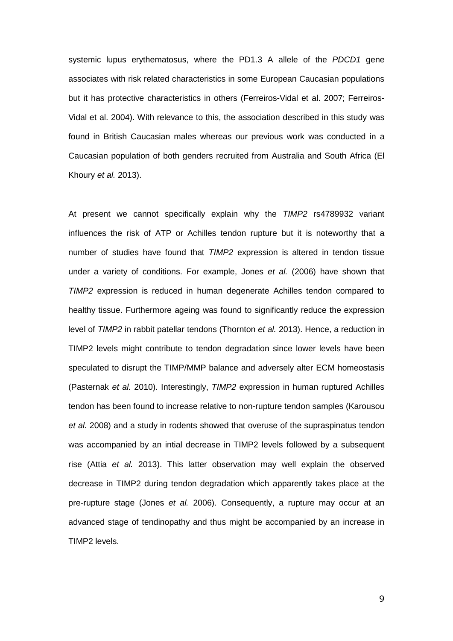systemic lupus erythematosus, where the PD1.3 A allele of the *PDCD1* gene associates with risk related characteristics in some European Caucasian populations but it has protective characteristics in others (Ferreiros-Vidal et al. 2007; Ferreiros-Vidal et al. 2004). With relevance to this, the association described in this study was found in British Caucasian males whereas our previous work was conducted in a Caucasian population of both genders recruited from Australia and South Africa (El Khoury *et al.* 2013).

At present we cannot specifically explain why the *TIMP2* rs4789932 variant influences the risk of ATP or Achilles tendon rupture but it is noteworthy that a number of studies have found that *TIMP2* expression is altered in tendon tissue under a variety of conditions. For example, Jones *et al.* (2006) have shown that *TIMP2* expression is reduced in human degenerate Achilles tendon compared to healthy tissue. Furthermore ageing was found to significantly reduce the expression level of *TIMP2* in rabbit patellar tendons (Thornton *et al.* 2013). Hence, a reduction in TIMP2 levels might contribute to tendon degradation since lower levels have been speculated to disrupt the TIMP/MMP balance and adversely alter ECM homeostasis (Pasternak *et al.* 2010). Interestingly, *TIMP2* expression in human ruptured Achilles tendon has been found to increase relative to non-rupture tendon samples (Karousou *et al.* 2008) and a study in rodents showed that overuse of the supraspinatus tendon was accompanied by an intial decrease in TIMP2 levels followed by a subsequent rise (Attia *et al.* 2013). This latter observation may well explain the observed decrease in TIMP2 during tendon degradation which apparently takes place at the pre-rupture stage (Jones *et al.* 2006). Consequently, a rupture may occur at an advanced stage of tendinopathy and thus might be accompanied by an increase in TIMP2 levels.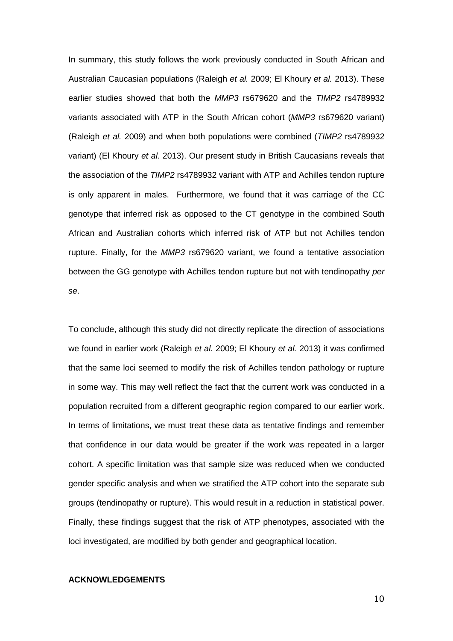In summary, this study follows the work previously conducted in South African and Australian Caucasian populations (Raleigh *et al.* 2009; El Khoury *et al.* 2013). These earlier studies showed that both the *MMP3* rs679620 and the *TIMP2* rs4789932 variants associated with ATP in the South African cohort (*MMP3* rs679620 variant) (Raleigh *et al.* 2009) and when both populations were combined (*TIMP2* rs4789932 variant) (El Khoury *et al.* 2013). Our present study in British Caucasians reveals that the association of the *TIMP2* rs4789932 variant with ATP and Achilles tendon rupture is only apparent in males. Furthermore, we found that it was carriage of the CC genotype that inferred risk as opposed to the CT genotype in the combined South African and Australian cohorts which inferred risk of ATP but not Achilles tendon rupture. Finally, for the *MMP3* rs679620 variant, we found a tentative association between the GG genotype with Achilles tendon rupture but not with tendinopathy *per se*.

To conclude, although this study did not directly replicate the direction of associations we found in earlier work (Raleigh *et al.* 2009; El Khoury *et al.* 2013) it was confirmed that the same loci seemed to modify the risk of Achilles tendon pathology or rupture in some way. This may well reflect the fact that the current work was conducted in a population recruited from a different geographic region compared to our earlier work. In terms of limitations, we must treat these data as tentative findings and remember that confidence in our data would be greater if the work was repeated in a larger cohort. A specific limitation was that sample size was reduced when we conducted gender specific analysis and when we stratified the ATP cohort into the separate sub groups (tendinopathy or rupture). This would result in a reduction in statistical power. Finally, these findings suggest that the risk of ATP phenotypes, associated with the loci investigated, are modified by both gender and geographical location.

### **ACKNOWLEDGEMENTS**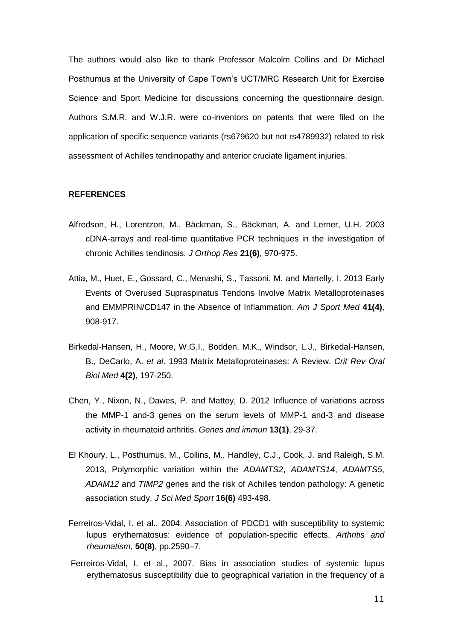The authors would also like to thank Professor Malcolm Collins and Dr Michael Posthumus at the University of Cape Town's UCT/MRC Research Unit for Exercise Science and Sport Medicine for discussions concerning the questionnaire design. Authors S.M.R. and W.J.R. were co-inventors on patents that were filed on the application of specific sequence variants (rs679620 but not rs4789932) related to risk assessment of Achilles tendinopathy and anterior cruciate ligament injuries.

### **REFERENCES**

- Alfredson, H., Lorentzon, M., Bäckman, S., Bäckman, A. and Lerner, U.H. 2003 cDNA-arrays and real-time quantitative PCR techniques in the investigation of chronic Achilles tendinosis. *J Orthop Res* **21(6)**, 970-975.
- Attia, M., Huet, E., Gossard, C., Menashi, S., Tassoni, M. and Martelly, I. 2013 Early Events of Overused Supraspinatus Tendons Involve Matrix Metalloproteinases and EMMPRIN/CD147 in the Absence of Inflammation. *Am J Sport Med* **41(4)**, 908-917.
- Birkedal-Hansen, H., Moore, W.G.I., Bodden, M.K., Windsor, L.J., Birkedal-Hansen, B., DeCarlo, A. *et al*. 1993 Matrix Metalloproteinases: A Review. *Crit Rev Oral Biol Med* **4(2)**, 197-250.
- Chen, Y., Nixon, N., Dawes, P. and Mattey, D. 2012 Influence of variations across the MMP-1 and-3 genes on the serum levels of MMP-1 and-3 and disease activity in rheumatoid arthritis. *Genes and immun* **13(1)**, 29-37.
- El Khoury, L., Posthumus, M., Collins, M., Handley, C.J., Cook, J. and Raleigh, S.M. 2013, Polymorphic variation within the *ADAMTS2*, *ADAMTS14*, *ADAMTS5*, *ADAM12* and *TIMP2* genes and the risk of Achilles tendon pathology: A genetic association study. *J Sci Med Sport* **16(6)** 493-498.
- Ferreiros-Vidal, I. et al., 2004. Association of PDCD1 with susceptibility to systemic lupus erythematosus: evidence of population-specific effects. *Arthritis and rheumatism*, **50(8)**, pp.2590–7.
- Ferreiros-Vidal, I. et al., 2007. Bias in association studies of systemic lupus erythematosus susceptibility due to geographical variation in the frequency of a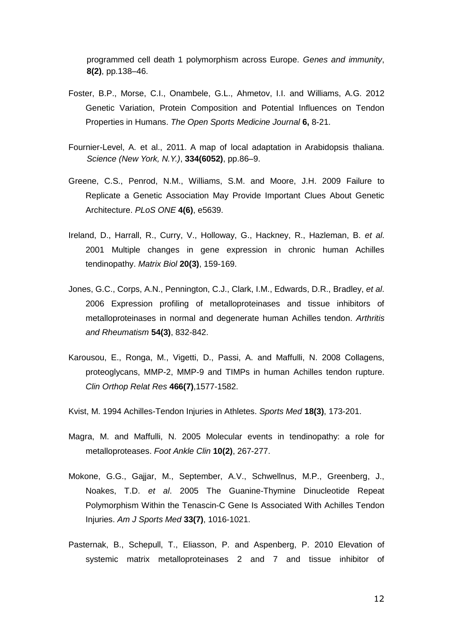programmed cell death 1 polymorphism across Europe. *Genes and immunity*, **8(2)**, pp.138–46.

- Foster, B.P., Morse, C.I., Onambele, G.L., Ahmetov, I.I. and Williams, A.G. 2012 Genetic Variation, Protein Composition and Potential Influences on Tendon Properties in Humans. *The Open Sports Medicine Journal* **6,** 8-21.
- Fournier-Level, A. et al., 2011. A map of local adaptation in Arabidopsis thaliana. *Science (New York, N.Y.)*, **334(6052)**, pp.86–9.
- Greene, C.S., Penrod, N.M., Williams, S.M. and Moore, J.H. 2009 Failure to Replicate a Genetic Association May Provide Important Clues About Genetic Architecture. *PLoS ONE* **4(6)**, e5639.
- Ireland, D., Harrall, R., Curry, V., Holloway, G., Hackney, R., Hazleman, B. *et al*. 2001 Multiple changes in gene expression in chronic human Achilles tendinopathy. *Matrix Biol* **20(3)**, 159-169.
- Jones, G.C., Corps, A.N., Pennington, C.J., Clark, I.M., Edwards, D.R., Bradley, *et al*. 2006 Expression profiling of metalloproteinases and tissue inhibitors of metalloproteinases in normal and degenerate human Achilles tendon. *Arthritis and Rheumatism* **54(3)**, 832-842.
- Karousou, E., Ronga, M., Vigetti, D., Passi, A. and Maffulli, N. 2008 Collagens, proteoglycans, MMP-2, MMP-9 and TIMPs in human Achilles tendon rupture. *Clin Orthop Relat Res* **466(7)**,1577-1582.
- Kvist, M. 1994 Achilles-Tendon Injuries in Athletes. *Sports Med* **18(3)**, 173-201.
- Magra, M. and Maffulli, N. 2005 Molecular events in tendinopathy: a role for metalloproteases. *Foot Ankle Clin* **10(2)**, 267-277.
- Mokone, G.G., Gajjar, M., September, A.V., Schwellnus, M.P., Greenberg, J., Noakes, T.D. *et al*. 2005 The Guanine-Thymine Dinucleotide Repeat Polymorphism Within the Tenascin-C Gene Is Associated With Achilles Tendon Injuries. *Am J Sports Med* **33(7)**, 1016-1021.
- Pasternak, B., Schepull, T., Eliasson, P. and Aspenberg, P. 2010 Elevation of systemic matrix metalloproteinases 2 and 7 and tissue inhibitor of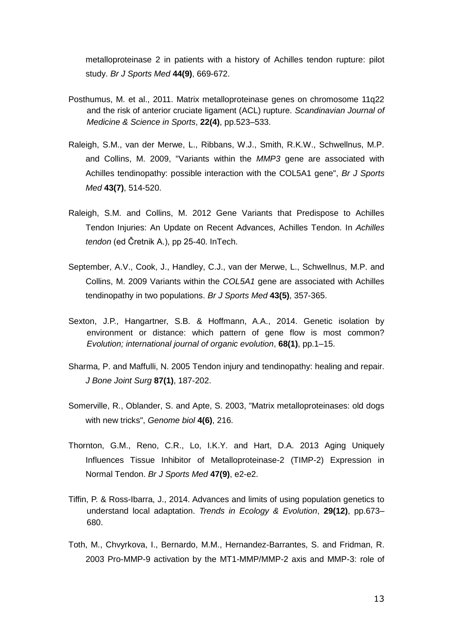metalloproteinase 2 in patients with a history of Achilles tendon rupture: pilot study. *Br J Sports Med* **44(9)**, 669-672.

- Posthumus, M. et al., 2011. Matrix metalloproteinase genes on chromosome 11q22 and the risk of anterior cruciate ligament (ACL) rupture. *Scandinavian Journal of Medicine & Science in Sports*, **22(4)**, pp.523–533.
- Raleigh, S.M., van der Merwe, L., Ribbans, W.J., Smith, R.K.W., Schwellnus, M.P. and Collins, M. 2009, "Variants within the *MMP3* gene are associated with Achilles tendinopathy: possible interaction with the COL5A1 gene", *Br J Sports Med* **43(7)**, 514-520.
- Raleigh, S.M. and Collins, M. 2012 Gene Variants that Predispose to Achilles Tendon Injuries: An Update on Recent Advances, Achilles Tendon. In *Achilles tendon* (ed Čretnik A.), pp 25-40. InTech.
- September, A.V., Cook, J., Handley, C.J., van der Merwe, L., Schwellnus, M.P. and Collins, M. 2009 Variants within the *COL5A1* gene are associated with Achilles tendinopathy in two populations. *Br J Sports Med* **43(5)**, 357-365.
- Sexton, J.P., Hangartner, S.B. & Hoffmann, A.A., 2014. Genetic isolation by environment or distance: which pattern of gene flow is most common? *Evolution; international journal of organic evolution*, **68(1)**, pp.1–15.
- Sharma, P. and Maffulli, N. 2005 Tendon injury and tendinopathy: healing and repair. *J Bone Joint Surg* **87(1)**, 187-202.
- Somerville, R., Oblander, S. and Apte, S. 2003, "Matrix metalloproteinases: old dogs with new tricks", *Genome biol* **4(6)**, 216.
- Thornton, G.M., Reno, C.R., Lo, I.K.Y. and Hart, D.A. 2013 Aging Uniquely Influences Tissue Inhibitor of Metalloproteinase-2 (TIMP-2) Expression in Normal Tendon. *Br J Sports Med* **47(9)**, e2-e2.
- Tiffin, P. & Ross-Ibarra, J., 2014. Advances and limits of using population genetics to understand local adaptation. *Trends in Ecology & Evolution*, **29(12)**, pp.673– 680.
- Toth, M., Chvyrkova, I., Bernardo, M.M., Hernandez-Barrantes, S. and Fridman, R. 2003 Pro-MMP-9 activation by the MT1-MMP/MMP-2 axis and MMP-3: role of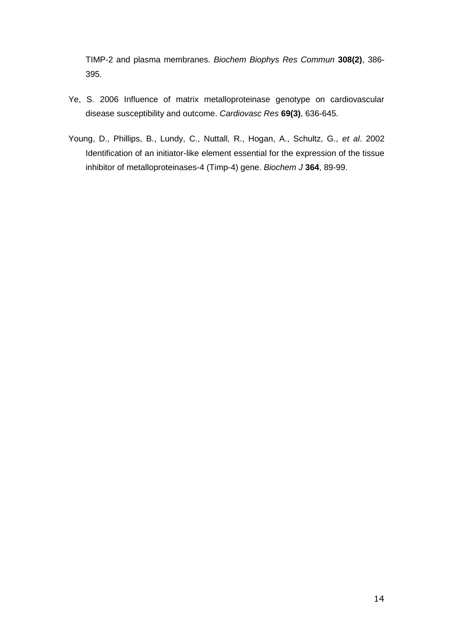TIMP-2 and plasma membranes. *Biochem Biophys Res Commun* **308(2)**, 386- 395.

- Ye, S. 2006 Influence of matrix metalloproteinase genotype on cardiovascular disease susceptibility and outcome. *Cardiovasc Res* **69(3)**, 636-645.
- Young, D., Phillips, B., Lundy, C., Nuttall, R., Hogan, A., Schultz, G., *et al*. 2002 Identification of an initiator-like element essential for the expression of the tissue inhibitor of metalloproteinases-4 (Timp-4) gene. *Biochem J* **364**, 89-99.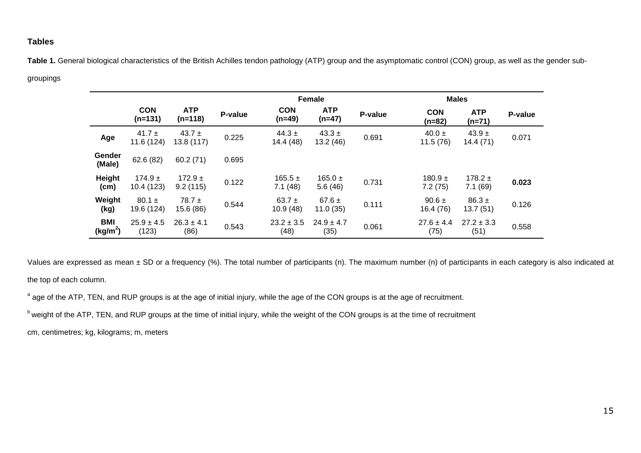## **Tables**

Table 1. General biological characteristics of the British Achilles tendon pathology (ATP) group and the asymptomatic control (CON) group, as well as the gender sub-

## groupings

|                                    |                           |                          |         |                         | <b>Female</b>          |         | <b>Males</b>           |                        |         |  |
|------------------------------------|---------------------------|--------------------------|---------|-------------------------|------------------------|---------|------------------------|------------------------|---------|--|
|                                    | <b>CON</b><br>$(n=131)$   | <b>ATP</b><br>$(n=118)$  | P-value | <b>CON</b><br>$(n=49)$  | <b>ATP</b><br>$(n=47)$ | P-value | <b>CON</b><br>$(n=82)$ | <b>ATP</b><br>$(n=71)$ | P-value |  |
| Age                                | 41.7 $\pm$<br>11.6 (124)  | 43.7 $\pm$<br>13.8 (117) | 0.225   | 44.3 $\pm$<br>14.4 (48) | $43.3 \pm$<br>13.2(46) | 0.691   | 40.0 $\pm$<br>11.5(76) | $43.9 \pm$<br>14.4(71) | 0.071   |  |
| Gender<br>(Male)                   | 62.6 (82)                 | 60.2(71)                 | 0.695   |                         |                        |         |                        |                        |         |  |
| Height<br>(cm)                     | 174.9 $\pm$<br>10.4 (123) | 172.9 $\pm$<br>9.2(115)  | 0.122   | $165.5 \pm$<br>7.1(48)  | 165.0 $\pm$<br>5.6(46) | 0.731   | $180.9 \pm$<br>7.2(75) | $178.2 \pm$<br>7.1(69) | 0.023   |  |
| Weight<br>(kg)                     | $80.1 \pm$<br>19.6 (124)  | $78.7 \pm$<br>15.6 (86)  | 0.544   | 63.7 $\pm$<br>10.9(48)  | 67.6 $\pm$<br>11.0(35) | 0.111   | $90.6 \pm$<br>16.4(76) | $86.3 \pm$<br>13.7(51) | 0.126   |  |
| <b>BMI</b><br>(kg/m <sup>2</sup> ) | $25.9 \pm 4.5$<br>(123)   | $26.3 \pm 4.1$<br>(86)   | 0.543   | $23.2 \pm 3.5$<br>(48)  | $24.9 \pm 4.7$<br>(35) | 0.061   | $27.6 \pm 4.4$<br>(75) | $27.2 \pm 3.3$<br>(51) | 0.558   |  |

Values are expressed as mean ± SD or a frequency (%). The total number of participants (n). The maximum number (n) of participants in each category is also indicated at the top of each column.

<sup>a</sup> age of the ATP, TEN, and RUP groups is at the age of initial injury, while the age of the CON groups is at the age of recruitment.

b weight of the ATP, TEN, and RUP groups at the time of initial injury, while the weight of the CON groups is at the time of recruitment

cm, centimetres; kg, kilograms; m, meters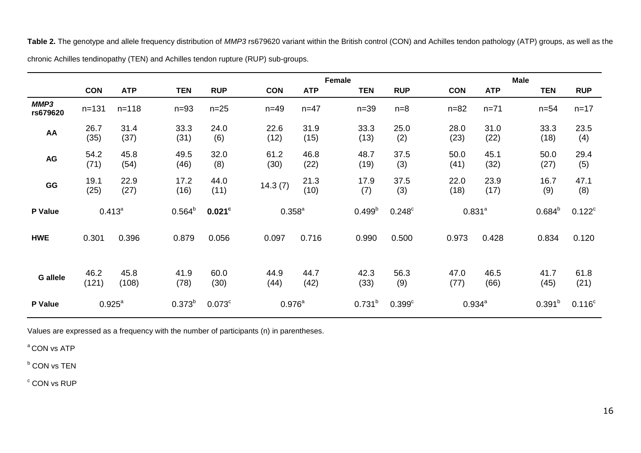**Table 2.** The genotype and allele frequency distribution of *MMP3* rs679620 variant within the British control (CON) and Achilles tendon pathology (ATP) groups, as well as the chronic Achilles tendinopathy (TEN) and Achilles tendon rupture (RUP) sub-groups.

|                  |               |               |              | Female          |              |              |                    |                      |              | <b>Male</b>  |              |              |  |
|------------------|---------------|---------------|--------------|-----------------|--------------|--------------|--------------------|----------------------|--------------|--------------|--------------|--------------|--|
|                  | <b>CON</b>    | <b>ATP</b>    | <b>TEN</b>   | <b>RUP</b>      | <b>CON</b>   | <b>ATP</b>   | <b>TEN</b>         | <b>RUP</b>           | <b>CON</b>   | <b>ATP</b>   | <b>TEN</b>   | <b>RUP</b>   |  |
| MMP3<br>rs679620 | $n = 131$     | $n = 118$     | $n=93$       | $n=25$          | $n=49$       | $n = 47$     | $n=39$             | $n=8$                | $n = 82$     | $n = 71$     | $n = 54$     | $n = 17$     |  |
| AA               | 26.7<br>(35)  | 31.4<br>(37)  | 33.3<br>(31) | 24.0<br>(6)     | 22.6<br>(12) | 31.9<br>(15) | 33.3<br>(13)       | 25.0<br>(2)          | 28.0<br>(23) | 31.0<br>(22) | 33.3<br>(18) | 23.5<br>(4)  |  |
| AG               | 54.2<br>(71)  | 45.8<br>(54)  | 49.5<br>(46) | 32.0<br>(8)     | 61.2<br>(30) | 46.8<br>(22) | 48.7<br>(19)       | 37.5<br>(3)          | 50.0<br>(41) | 45.1<br>(32) | 50.0<br>(27) | 29.4<br>(5)  |  |
| GG               | 19.1<br>(25)  | 22.9<br>(27)  | 17.2<br>(16) | 44.0<br>(11)    | 14.3(7)      | 21.3<br>(10) | 17.9<br>(7)        | 37.5<br>(3)          | 22.0<br>(18) | 23.9<br>(17) | 16.7<br>(9)  | 47.1<br>(8)  |  |
| P Value          | $0.413^{a}$   |               | $0.564^{b}$  | $0.021$ c       | $0.358^{a}$  |              | 0.499 <sup>b</sup> | $0.248$ <sup>c</sup> |              | $0.831^{a}$  |              | $0.122^c$    |  |
| <b>HWE</b>       | 0.301         | 0.396         | 0.879        | 0.056           | 0.097        | 0.716        | 0.990              | 0.500                | 0.973        | 0.428        | 0.834        | 0.120        |  |
| <b>G</b> allele  | 46.2<br>(121) | 45.8<br>(108) | 41.9<br>(78) | 60.0<br>(30)    | 44.9<br>(44) | 44.7<br>(42) | 42.3<br>(33)       | 56.3<br>(9)          | 47.0<br>(77) | 46.5<br>(66) | 41.7<br>(45) | 61.8<br>(21) |  |
| P Value          |               | $0.925^{a}$   | $0.373^{b}$  | $0.073^{\circ}$ | $0.976^{a}$  |              | $0.731^{b}$        | $0.399$ <sup>c</sup> |              | $0.934^{a}$  | $0.391^{b}$  | $0.116^c$    |  |

Values are expressed as a frequency with the number of participants (n) in parentheses.

<sup>a</sup> CON vs ATP

**b** CON vs TEN

 $\degree$  CON vs RUP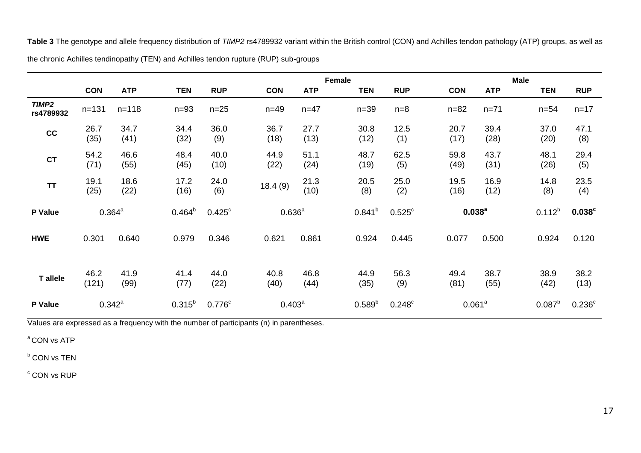**Table 3** The genotype and allele frequency distribution of *TIMP2* rs4789932 variant within the British control (CON) and Achilles tendon pathology (ATP) groups, as well as

| the chronic Achilles tendinopathy (TEN) and Achilles tendon rupture (RUP) sub-groups |
|--------------------------------------------------------------------------------------|
|--------------------------------------------------------------------------------------|

|                                |               |              |              | <b>Female</b>        |              |              |              |                 |              | <b>Male</b>        |              |                      |  |  |
|--------------------------------|---------------|--------------|--------------|----------------------|--------------|--------------|--------------|-----------------|--------------|--------------------|--------------|----------------------|--|--|
|                                | <b>CON</b>    | <b>ATP</b>   | <b>TEN</b>   | <b>RUP</b>           | <b>CON</b>   | <b>ATP</b>   | <b>TEN</b>   | <b>RUP</b>      | <b>CON</b>   | <b>ATP</b>         | <b>TEN</b>   | <b>RUP</b>           |  |  |
| TIMP <sub>2</sub><br>rs4789932 | $n = 131$     | $n = 118$    | $n=93$       | $n=25$               | $n = 49$     | $n = 47$     | $n=39$       | $n=8$           | $n = 82$     | $n = 71$           | $n = 54$     | $n = 17$             |  |  |
| cc                             | 26.7<br>(35)  | 34.7<br>(41) | 34.4<br>(32) | 36.0<br>(9)          | 36.7<br>(18) | 27.7<br>(13) | 30.8<br>(12) | 12.5<br>(1)     | 20.7<br>(17) | 39.4<br>(28)       | 37.0<br>(20) | 47.1<br>(8)          |  |  |
| <b>CT</b>                      | 54.2<br>(71)  | 46.6<br>(55) | 48.4<br>(45) | 40.0<br>(10)         | 44.9<br>(22) | 51.1<br>(24) | 48.7<br>(19) | 62.5<br>(5)     | 59.8<br>(49) | 43.7<br>(31)       | 48.1<br>(26) | 29.4<br>(5)          |  |  |
| <b>TT</b>                      | 19.1<br>(25)  | 18.6<br>(22) | 17.2<br>(16) | 24.0<br>(6)          | 18.4(9)      | 21.3<br>(10) | 20.5<br>(8)  | 25.0<br>(2)     | 19.5<br>(16) | 16.9<br>(12)       | 14.8<br>(8)  | 23.5<br>(4)          |  |  |
| P Value                        |               | $0.364^{a}$  | $0.464^{b}$  | $0.425^{\circ}$      | $0.636^{a}$  |              | $0.841^{b}$  | $0.525^{\circ}$ |              | $0.038^{a}$        | $0.112^{b}$  | $0.038$ c            |  |  |
| <b>HWE</b>                     | 0.301         | 0.640        | 0.979        | 0.346                | 0.621        | 0.861        | 0.924        | 0.445           | 0.077        | 0.500              | 0.924        | 0.120                |  |  |
| T allele                       | 46.2<br>(121) | 41.9<br>(99) | 41.4<br>(77) | 44.0<br>(22)         | 40.8<br>(40) | 46.8<br>(44) | 44.9<br>(35) | 56.3<br>(9)     | 49.4<br>(81) | 38.7<br>(55)       | 38.9<br>(42) | 38.2<br>(13)         |  |  |
| P Value                        |               | $0.342^a$    | $0.315^{b}$  | $0.776$ <sup>c</sup> | $0.403^a$    |              | $0.589^{b}$  | $0.248^{\circ}$ |              | 0.061 <sup>a</sup> | $0.087^{b}$  | $0.236$ <sup>c</sup> |  |  |

Values are expressed as a frequency with the number of participants (n) in parentheses.

<sup>a</sup> CON vs ATP

**b** CON vs TEN

 $\degree$  CON vs RUP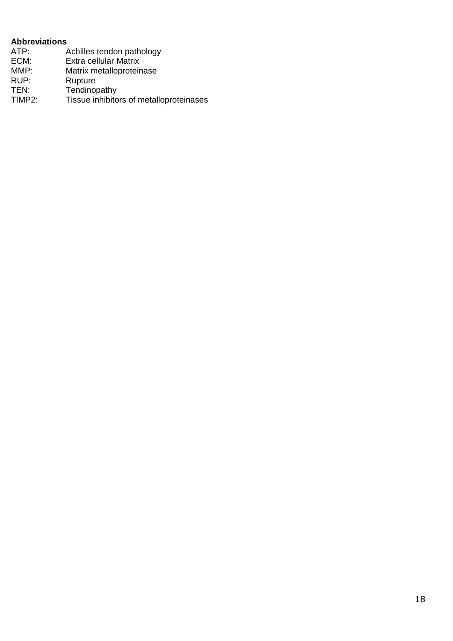## **Abbreviations**

| ATP:   | Achilles tendon pathology               |
|--------|-----------------------------------------|
| ECM:   | Extra cellular Matrix                   |
| MMP:   | Matrix metalloproteinase                |
| RUP:   | Rupture                                 |
| TEN:   | Tendinopathy                            |
| TIMP2: | Tissue inhibitors of metalloproteinases |